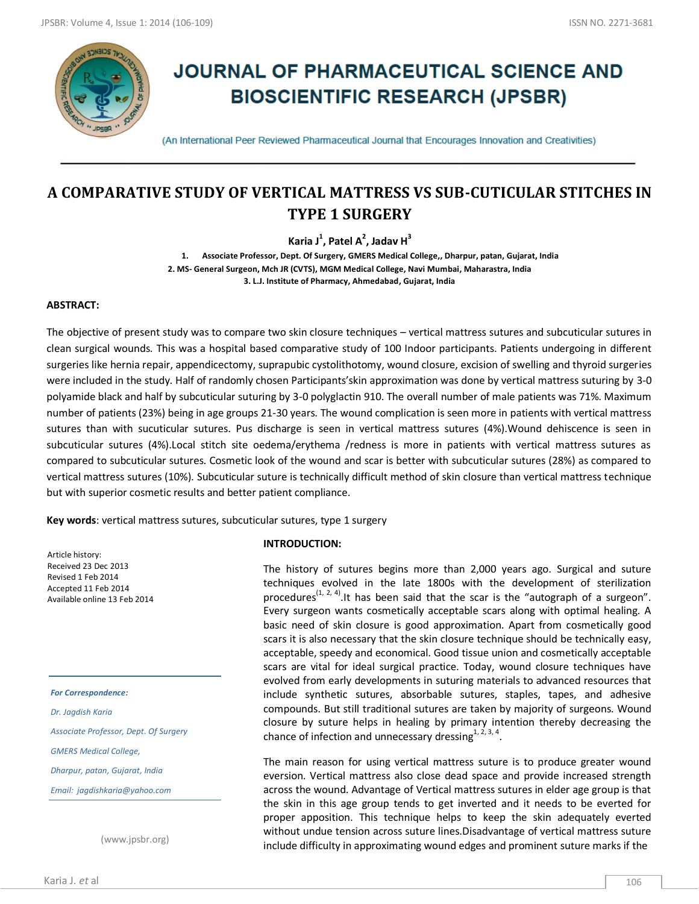

# **JOURNAL OF PHARMACEUTICAL SCIENCE AND BIOSCIENTIFIC RESEARCH (JPSBR)**

(An International Peer Reviewed Pharmaceutical Journal that Encourages Innovation and Creativities)

# **A COMPARATIVE STUDY OF VERTICAL MATTRESS VS SUB-CUTICULAR STITCHES IN TYPE 1 SURGERY**

**Karia J<sup>1</sup> , Patel A<sup>2</sup> , Jadav H<sup>3</sup>**

**1. Associate Professor, Dept. Of Surgery, GMERS Medical College,, Dharpur, patan, Gujarat, India 2. MS- General Surgeon, Mch JR (CVTS), MGM Medical College, Navi Mumbai, Maharastra, India 3. L.J. Institute of Pharmacy, Ahmedabad, Gujarat, India**

#### **ABSTRACT:**

The objective of present study was to compare two skin closure techniques – vertical mattress sutures and subcuticular sutures in clean surgical wounds. This was a hospital based comparative study of 100 Indoor participants. Patients undergoing in different surgeries like hernia repair, appendicectomy, suprapubic cystolithotomy, wound closure, excision of swelling and thyroid surgeries were included in the study. Half of randomly chosen Participants'skin approximation was done by vertical mattress suturing by 3-0 polyamide black and half by subcuticular suturing by 3-0 polyglactin 910. The overall number of male patients was 71%. Maximum number of patients (23%) being in age groups 21-30 years. The wound complication is seen more in patients with vertical mattress sutures than with sucuticular sutures. Pus discharge is seen in vertical mattress sutures (4%).Wound dehiscence is seen in subcuticular sutures (4%).Local stitch site oedema/erythema /redness is more in patients with vertical mattress sutures as compared to subcuticular sutures. Cosmetic look of the wound and scar is better with subcuticular sutures (28%) as compared to vertical mattress sutures (10%). Subcuticular suture is technically difficult method of skin closure than vertical mattress technique but with superior cosmetic results and better patient compliance.

**Key words**: vertical mattress sutures, subcuticular sutures, type 1 surgery

Article history: Received 23 Dec 2013 Revised 1 Feb 2014 Accepted 11 Feb 2014 Available online 13 Feb 2014

*For Correspondence: Dr. Jagdish Karia Associate Professor, Dept. Of Surgery GMERS Medical College, Dharpur, patan, Gujarat, India Email: jagdishkaria@yahoo.com*

(www.jpsbr.org)

#### **INTRODUCTION:**

The history of sutures begins more than 2,000 years ago. Surgical and suture techniques evolved in the late 1800s with the development of sterilization procedures<sup>(1, 2, 4)</sup>. It has been said that the scar is the "autograph of a surgeon". Every surgeon wants cosmetically acceptable scars along with optimal healing. A basic need of skin closure is good approximation. Apart from cosmetically good scars it is also necessary that the skin closure technique should be technically easy, acceptable, speedy and economical. Good tissue union and cosmetically acceptable scars are vital for ideal surgical practice. Today, wound closure techniques have evolved from early developments in suturing materials to advanced resources that include synthetic sutures, absorbable sutures, staples, tapes, and adhesive compounds. But still traditional sutures are taken by majority of surgeons. Wound closure by suture helps in healing by primary intention thereby decreasing the chance of infection and unnecessary dressing $1, 2, 3, 4$ .

The main reason for using vertical mattress suture is to produce greater wound eversion. Vertical mattress also close dead space and provide increased strength across the wound. Advantage of Vertical mattress sutures in elder age group is that the skin in this age group tends to get inverted and it needs to be everted for proper apposition. This technique helps to keep the skin adequately everted without undue tension across suture lines.Disadvantage of vertical mattress suture include difficulty in approximating wound edges and prominent suture marks if the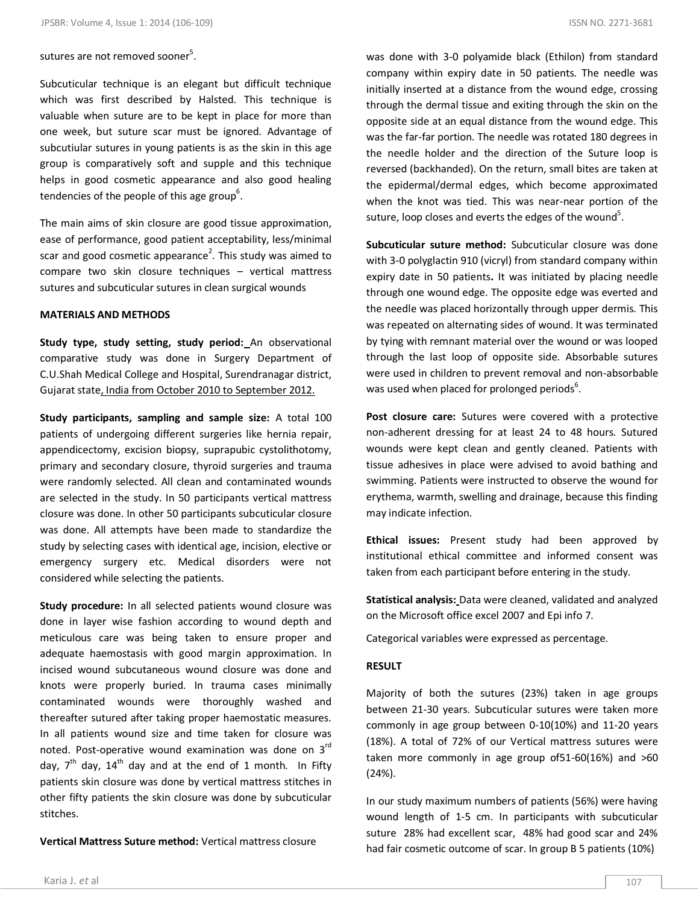# sutures are not removed sooner<sup>5</sup>.

Subcuticular technique is an elegant but difficult technique which was first described by Halsted. This technique is valuable when suture are to be kept in place for more than one week, but suture scar must be ignored. Advantage of subcutiular sutures in young patients is as the skin in this age group is comparatively soft and supple and this technique helps in good cosmetic appearance and also good healing tendencies of the people of this age group<sup>6</sup>.

The main aims of skin closure are good tissue approximation, ease of performance, good patient acceptability, less/minimal scar and good cosmetic appearance<sup>2</sup>. This study was aimed to compare two skin closure techniques – vertical mattress sutures and subcuticular sutures in clean surgical wounds

#### **MATERIALS AND METHODS**

**Study type, study setting, study period:** An observational comparative study was done in Surgery Department of C.U.Shah Medical College and Hospital, Surendranagar district, Gujarat state, India from October 2010 to September 2012.

**Study participants, sampling and sample size:** A total 100 patients of undergoing different surgeries like hernia repair, appendicectomy, excision biopsy, suprapubic cystolithotomy, primary and secondary closure, thyroid surgeries and trauma were randomly selected. All clean and contaminated wounds are selected in the study. In 50 participants vertical mattress closure was done. In other 50 participants subcuticular closure was done. All attempts have been made to standardize the study by selecting cases with identical age, incision, elective or emergency surgery etc. Medical disorders were not considered while selecting the patients.

**Study procedure:** In all selected patients wound closure was done in layer wise fashion according to wound depth and meticulous care was being taken to ensure proper and adequate haemostasis with good margin approximation. In incised wound subcutaneous wound closure was done and knots were properly buried. In trauma cases minimally contaminated wounds were thoroughly washed and thereafter sutured after taking proper haemostatic measures. In all patients wound size and time taken for closure was noted. Post-operative wound examination was done on 3rd day,  $7<sup>th</sup>$  day,  $14<sup>th</sup>$  day and at the end of 1 month. In Fifty patients skin closure was done by vertical mattress stitches in other fifty patients the skin closure was done by subcuticular stitches.

**Vertical Mattress Suture method:** Vertical mattress closure

was done with 3-0 polyamide black (Ethilon) from standard company within expiry date in 50 patients. The needle was initially inserted at a distance from the wound edge, crossing through the dermal tissue and exiting through the skin on the opposite side at an equal distance from the wound edge. This was the far-far portion. The needle was rotated 180 degrees in the needle holder and the direction of the Suture loop is reversed (backhanded). On the return, small bites are taken at the epidermal/dermal edges, which become approximated when the knot was tied. This was near-near portion of the suture, loop closes and everts the edges of the wound<sup>5</sup>.

**Subcuticular suture method:** Subcuticular closure was done with 3-0 polyglactin 910 (vicryl) from standard company within expiry date in 50 patients**.** It was initiated by placing needle through one wound edge. The opposite edge was everted and the needle was placed horizontally through upper dermis. This was repeated on alternating sides of wound. It was terminated by tying with remnant material over the wound or was looped through the last loop of opposite side. Absorbable sutures were used in children to prevent removal and non-absorbable was used when placed for prolonged periods<sup>6</sup>.

**Post closure care:** Sutures were covered with a protective non-adherent dressing for at least 24 to 48 hours. Sutured wounds were kept clean and gently cleaned. Patients with tissue adhesives in place were advised to avoid bathing and swimming. Patients were instructed to observe the wound for erythema, warmth, swelling and drainage, because this finding may indicate infection.

**Ethical issues:** Present study had been approved by institutional ethical committee and informed consent was taken from each participant before entering in the study.

**Statistical analysis:** Data were cleaned, validated and analyzed on the Microsoft office excel 2007 and Epi info 7.

Categorical variables were expressed as percentage.

#### **RESULT**

Majority of both the sutures (23%) taken in age groups between 21-30 years. Subcuticular sutures were taken more commonly in age group between 0-10(10%) and 11-20 years (18%). A total of 72% of our Vertical mattress sutures were taken more commonly in age group of51-60(16%) and >60 (24%).

In our study maximum numbers of patients (56%) were having wound length of 1-5 cm. In participants with subcuticular suture 28% had excellent scar, 48% had good scar and 24% had fair cosmetic outcome of scar. In group B 5 patients (10%)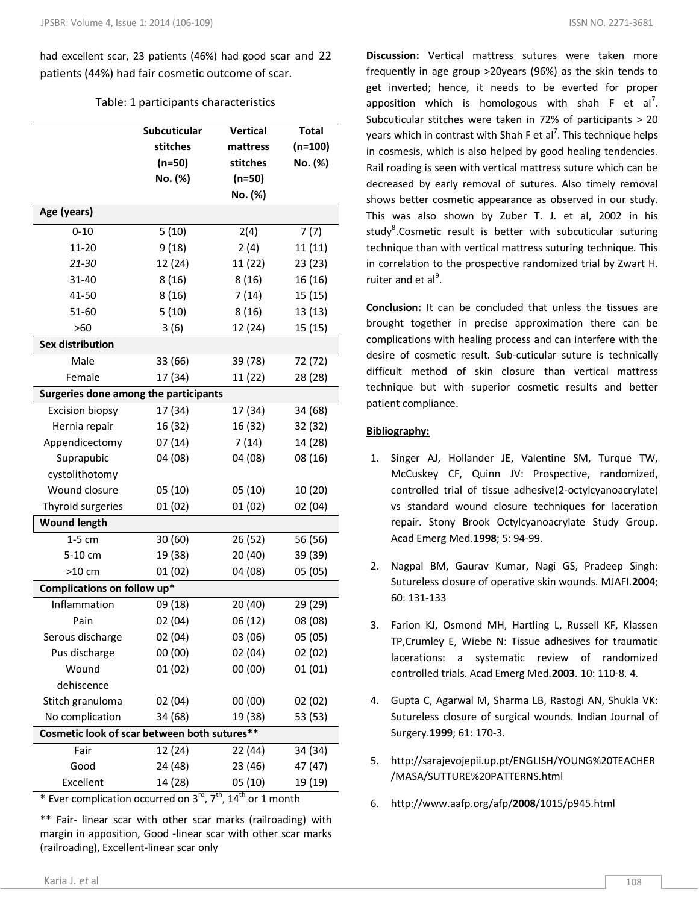had excellent scar, 23 patients (46%) had good scar and 22 patients (44%) had fair cosmetic outcome of scar.

## Table: 1 participants characteristics

|                                                                                                 | Subcuticular | Vertical | <b>Total</b> |
|-------------------------------------------------------------------------------------------------|--------------|----------|--------------|
|                                                                                                 | stitches     | mattress | $(n=100)$    |
|                                                                                                 | $(n=50)$     | stitches | No. (%)      |
|                                                                                                 | No. (%)      | $(n=50)$ |              |
|                                                                                                 |              | No. (%)  |              |
| Age (years)                                                                                     |              |          |              |
| $0 - 10$                                                                                        | 5(10)        | 2(4)     | 7(7)         |
| $11 - 20$                                                                                       | 9(18)        | 2(4)     | 11(11)       |
| 21-30                                                                                           | 12 (24)      | 11 (22)  | 23 (23)      |
| 31-40                                                                                           | 8(16)        | 8(16)    | 16 (16)      |
| 41-50                                                                                           | 8(16)        | 7(14)    | 15(15)       |
| 51-60                                                                                           | 5(10)        | 8(16)    | 13 (13)      |
| >60                                                                                             | 3(6)         | 12 (24)  | 15 (15)      |
| <b>Sex distribution</b>                                                                         |              |          |              |
| Male                                                                                            | 33 (66)      | 39 (78)  | 72 (72)      |
| Female                                                                                          | 17 (34)      | 11 (22)  | 28 (28)      |
| Surgeries done among the participants                                                           |              |          |              |
| <b>Excision biopsy</b>                                                                          | 17 (34)      | 17 (34)  | 34 (68)      |
| Hernia repair                                                                                   | 16 (32)      | 16 (32)  | 32 (32)      |
| Appendicectomy                                                                                  | 07(14)       | 7(14)    | 14 (28)      |
| Suprapubic                                                                                      | 04 (08)      | 04 (08)  | 08 (16)      |
| cystolithotomy                                                                                  |              |          |              |
| Wound closure                                                                                   | 05(10)       | 05(10)   | 10 (20)      |
| Thyroid surgeries                                                                               | 01(02)       | 01(02)   | 02(04)       |
| <b>Wound length</b>                                                                             |              |          |              |
| $1-5$ cm                                                                                        | 30(60)       | 26 (52)  | 56 (56)      |
| 5-10 cm                                                                                         | 19 (38)      | 20 (40)  | 39 (39)      |
| $>10$ cm                                                                                        | 01(02)       | 04 (08)  | 05 (05)      |
| Complications on follow up*                                                                     |              |          |              |
| Inflammation                                                                                    | 09 (18)      | 20 (40)  | 29 (29)      |
| Pain                                                                                            | 02(04)       | 06 (12)  | 08 (08)      |
| Serous discharge                                                                                | 02 (04)      | 03 (06)  | 05 (05)      |
| Pus discharge                                                                                   | 00 (00)      | 02(04)   | 02(02)       |
| Wound                                                                                           | 01(02)       | 00(00)   | 01(01)       |
| dehiscence                                                                                      |              |          |              |
| Stitch granuloma                                                                                | 02(04)       | 00 (00)  | 02 (02)      |
| No complication                                                                                 | 34 (68)      | 19 (38)  | 53 (53)      |
| Cosmetic look of scar between both sutures**                                                    |              |          |              |
| Fair                                                                                            | 12 (24)      | 22 (44)  | 34 (34)      |
| Good                                                                                            | 24 (48)      | 23 (46)  | 47 (47)      |
| Excellent                                                                                       | 14 (28)      | 05(10)   | 19 (19)      |
| * Ever complication occurred on $3^{\text{rd}}$ , $7^{\text{th}}$ , $14^{\text{th}}$ or 1 month |              |          |              |

\*\* Fair- linear scar with other scar marks (railroading) with margin in apposition, Good -linear scar with other scar marks (railroading), Excellent-linear scar only

**Discussion:** Vertical mattress sutures were taken more frequently in age group >20years (96%) as the skin tends to get inverted; hence, it needs to be everted for proper apposition which is homologous with shah  $F$  et al<sup>7</sup>. Subcuticular stitches were taken in 72% of participants > 20 years which in contrast with Shah F et al<sup>7</sup>. This technique helps in cosmesis, which is also helped by good healing tendencies. Rail roading is seen with vertical mattress suture which can be decreased by early removal of sutures. Also timely removal shows better cosmetic appearance as observed in our study. This was also shown by Zuber T. J. et al, 2002 in his study<sup>8</sup>.Cosmetic result is better with subcuticular suturing technique than with vertical mattress suturing technique. This in correlation to the prospective randomized trial by Zwart H. ruiter and et al<sup>9</sup>.

**Conclusion:** It can be concluded that unless the tissues are brought together in precise approximation there can be complications with healing process and can interfere with the desire of cosmetic result. Sub-cuticular suture is technically difficult method of skin closure than vertical mattress technique but with superior cosmetic results and better patient compliance.

## **Bibliography:**

- 1. Singer AJ, Hollander JE, Valentine SM, Turque TW, McCuskey CF, Quinn JV: Prospective, randomized, controlled trial of tissue adhesive(2-octylcyanoacrylate) vs standard wound closure techniques for laceration repair. Stony Brook Octylcyanoacrylate Study Group. Acad Emerg Med.**1998**; 5: 94-99.
- 2. Nagpal BM, Gaurav Kumar, Nagi GS, Pradeep Singh: Sutureless closure of operative skin wounds. MJAFI.**2004**; 60: 131-133
- 3. Farion KJ, Osmond MH, Hartling L, Russell KF, Klassen TP,Crumley E, Wiebe N: Tissue adhesives for traumatic lacerations: a systematic review of randomized controlled trials. Acad Emerg Med.**2003**. 10: 110-8. 4.
- 4. Gupta C, Agarwal M, Sharma LB, Rastogi AN, Shukla VK: Sutureless closure of surgical wounds. Indian Journal of Surgery.**1999**; 61: 170-3.
- 5. http://sarajevojepii.up.pt/ENGLISH/YOUNG%20TEACHER /MASA/SUTTURE%20PATTERNS.html
- 6. http://www.aafp.org/afp/**2008**/1015/p945.html